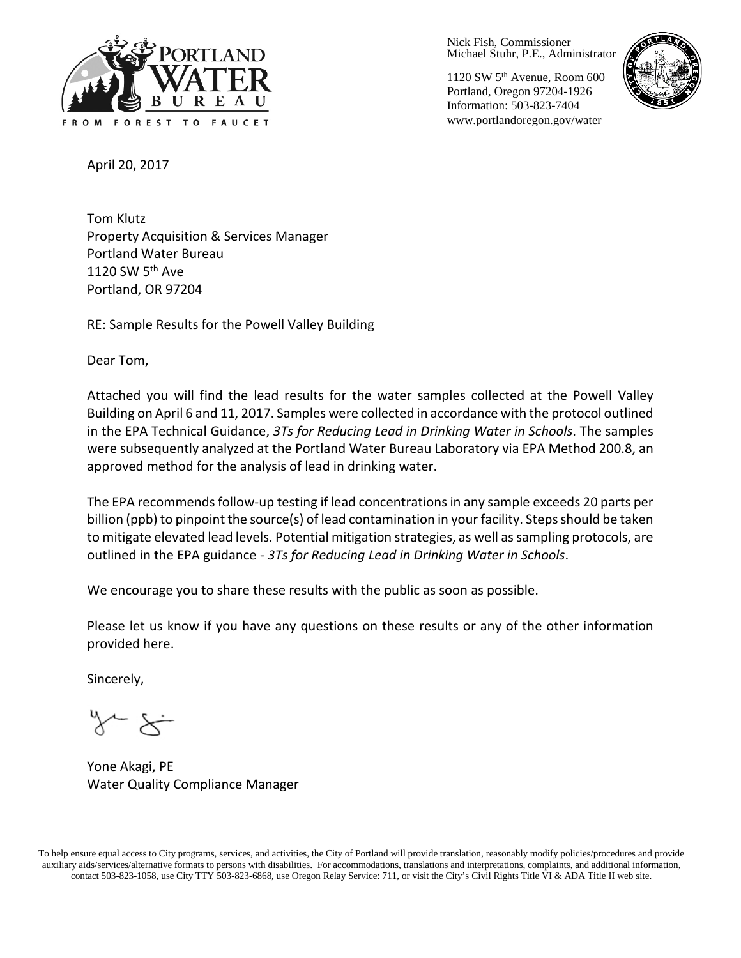

Nick Fish, Commissioner Michael Stuhr, P.E., Administrator

1120 SW 5th Avenue, Room 600 Portland, Oregon 97204-1926 Information: 503-823-7404 www.portlandoregon.gov/water



April 20, 2017

Tom Klutz Property Acquisition & Services Manager Portland Water Bureau 1120 SW  $5<sup>th</sup>$  Ave Portland, OR 97204

RE: Sample Results for the Powell Valley Building

Dear Tom,

Attached you will find the lead results for the water samples collected at the Powell Valley Building on April 6 and 11, 2017. Samples were collected in accordance with the protocol outlined in the EPA Technical Guidance, *3Ts for Reducing Lead in Drinking Water in Schools*. The samples were subsequently analyzed at the Portland Water Bureau Laboratory via EPA Method 200.8, an approved method for the analysis of lead in drinking water.

The EPA recommends follow-up testing if lead concentrations in any sample exceeds 20 parts per billion (ppb) to pinpoint the source(s) of lead contamination in your facility. Steps should be taken to mitigate elevated lead levels. Potential mitigation strategies, as well as sampling protocols, are outlined in the EPA guidance - *3Ts for Reducing Lead in Drinking Water in Schools*.

We encourage you to share these results with the public as soon as possible.

Please let us know if you have any questions on these results or any of the other information provided here.

Sincerely,

Yone Akagi, PE Water Quality Compliance Manager

To help ensure equal access to City programs, services, and activities, the City of Portland will provide translation, reasonably modify policies/procedures and provide auxiliary aids/services/alternative formats to persons with disabilities. For accommodations, translations and interpretations, complaints, and additional information, contact 503-823-1058, use City TTY 503-823-6868, use Oregon Relay Service: 711, or visi[t the City's Civil Rights Title VI & ADA Title II web site.](http://www.portlandoregon.gov/oehr/66458)